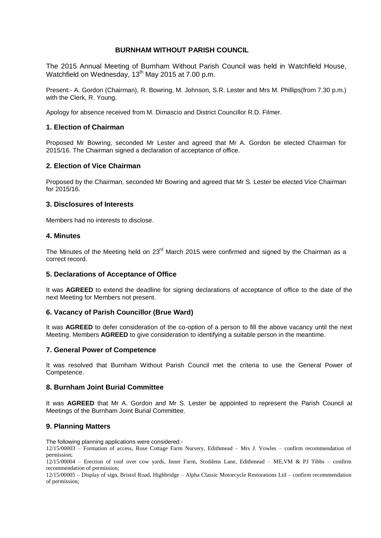## **BURNHAM WITHOUT PARISH COUNCIL**

The 2015 Annual Meeting of Burnham Without Parish Council was held in Watchfield House, Watchfield on Wednesday, 13<sup>th</sup> May 2015 at 7.00 p.m.

Present:- A. Gordon (Chairman), R. Bowring, M. Johnson, S.R. Lester and Mrs M. Phillips(from 7.30 p.m.) with the Clerk, R. Young.

Apology for absence received from M. Dimascio and District Councillor R.D. Filmer.

# **1. Election of Chairman**

Proposed Mr Bowring, seconded Mr Lester and agreed that Mr A. Gordon be elected Chairman for 2015/16. The Chairman signed a declaration of acceptance of office.

# **2. Election of Vice Chairman**

Proposed by the Chairman, seconded Mr Bowring and agreed that Mr S. Lester be elected Vice Chairman for 2015/16.

#### **3. Disclosures of Interests**

Members had no interests to disclose.

# **4. Minutes**

The Minutes of the Meeting held on  $23<sup>rd</sup>$  March 2015 were confirmed and signed by the Chairman as a correct record.

## **5. Declarations of Acceptance of Office**

It was **AGREED** to extend the deadline for signing declarations of acceptance of office to the date of the next Meeting for Members not present.

## **6. Vacancy of Parish Councillor (Brue Ward)**

It was **AGREED** to defer consideration of the co-option of a person to fill the above vacancy until the next Meeting. Members **AGREED** to give consideration to identifying a suitable person in the meantime.

## **7. General Power of Competence**

It was resolved that Burnham Without Parish Council met the criteria to use the General Power of Competence.

## **8. Burnham Joint Burial Committee**

It was **AGREED** that Mr A. Gordon and Mr S. Lester be appointed to represent the Parish Council at Meetings of the Burnham Joint Burial Committee.

## **9. Planning Matters**

The following planning applications were considered:-

12/15/00003 – Formation of access, Rose Cottage Farm Nursery, Edithmead – Mrs J. Vowles – confirm recommendation of permission;

12/15/00004 – Erection of roof over cow yards, Inner Farm, Stoddens Lane, Edithmead – ME,VM & PJ Tibbs – confirm recommendation of permission;

12/15/00005 – Display of sign, Bristol Road, Highbridge – Alpha Classic Motorcycle Restorations Ltd – confirm recommendation of permission;